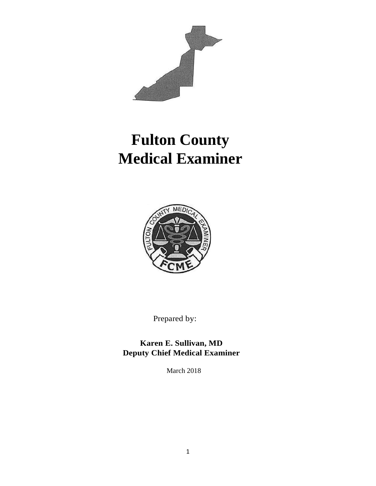

# **Fulton County Medical Examiner**



Prepared by:

**Karen E. Sullivan, MD Deputy Chief Medical Examiner**

March 2018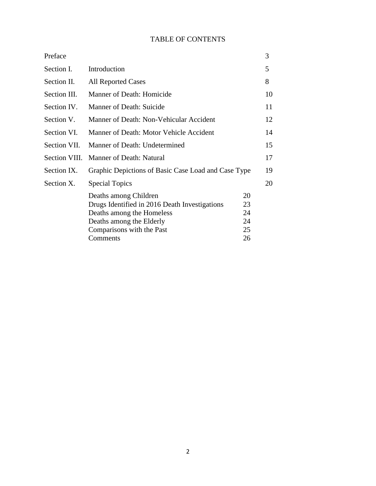## TABLE OF CONTENTS

|                                                                                                                                                                          |                                  | 3                                                   |
|--------------------------------------------------------------------------------------------------------------------------------------------------------------------------|----------------------------------|-----------------------------------------------------|
| Introduction                                                                                                                                                             |                                  | 5                                                   |
| <b>All Reported Cases</b>                                                                                                                                                |                                  | 8                                                   |
| Manner of Death: Homicide                                                                                                                                                |                                  | 10                                                  |
| Manner of Death: Suicide                                                                                                                                                 |                                  | 11                                                  |
| Manner of Death: Non-Vehicular Accident                                                                                                                                  |                                  | 12                                                  |
| Manner of Death: Motor Vehicle Accident                                                                                                                                  |                                  | 14                                                  |
| Manner of Death: Undetermined                                                                                                                                            |                                  | 15                                                  |
| Manner of Death: Natural                                                                                                                                                 |                                  | 17                                                  |
|                                                                                                                                                                          |                                  | 19                                                  |
| <b>Special Topics</b>                                                                                                                                                    |                                  | 20                                                  |
| Deaths among Children<br>Drugs Identified in 2016 Death Investigations<br>Deaths among the Homeless<br>Deaths among the Elderly<br>Comparisons with the Past<br>Comments | 20<br>23<br>24<br>24<br>25<br>26 |                                                     |
|                                                                                                                                                                          |                                  | Graphic Depictions of Basic Case Load and Case Type |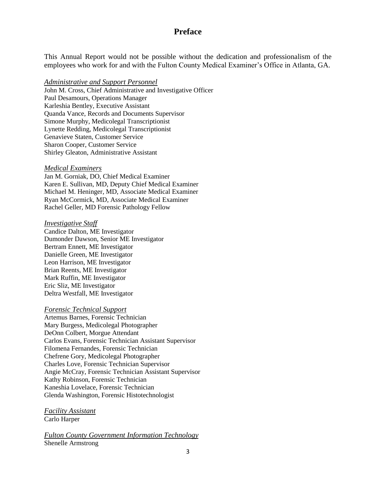## **Preface**

This Annual Report would not be possible without the dedication and professionalism of the employees who work for and with the Fulton County Medical Examiner's Office in Atlanta, GA.

#### *Administrative and Support Personnel*

John M. Cross, Chief Administrative and Investigative Officer Paul Desamours, Operations Manager Karleshia Bentley, Executive Assistant Quanda Vance, Records and Documents Supervisor Simone Murphy, Medicolegal Transcriptionist Lynette Redding, Medicolegal Transcriptionist Genavieve Staten, Customer Service Sharon Cooper, Customer Service Shirley Gleaton, Administrative Assistant

#### *Medical Examiners*

Jan M. Gorniak, DO, Chief Medical Examiner Karen E. Sullivan, MD, Deputy Chief Medical Examiner Michael M. Heninger, MD, Associate Medical Examiner Ryan McCormick, MD, Associate Medical Examiner Rachel Geller, MD Forensic Pathology Fellow

#### *Investigative Staff*

Candice Dalton, ME Investigator Dumonder Dawson, Senior ME Investigator Bertram Ennett, ME Investigator Danielle Green, ME Investigator Leon Harrison, ME Investigator Brian Reents, ME Investigator Mark Ruffin, ME Investigator Eric Sliz, ME Investigator Deltra Westfall, ME Investigator

#### *Forensic Technical Support*

Artemus Barnes, Forensic Technician Mary Burgess, Medicolegal Photographer DeOnn Colbert, Morgue Attendant Carlos Evans, Forensic Technician Assistant Supervisor Filomena Fernandes, Forensic Technician Chefrene Gory, Medicolegal Photographer Charles Love, Forensic Technician Supervisor Angie McCray, Forensic Technician Assistant Supervisor Kathy Robinson, Forensic Technician Kaneshia Lovelace, Forensic Technician Glenda Washington, Forensic Histotechnologist

## *Facility Assistant*

Carlo Harper

*Fulton County Government Information Technology* Shenelle Armstrong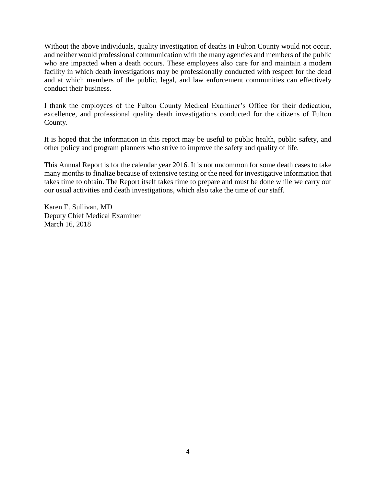Without the above individuals, quality investigation of deaths in Fulton County would not occur, and neither would professional communication with the many agencies and members of the public who are impacted when a death occurs. These employees also care for and maintain a modern facility in which death investigations may be professionally conducted with respect for the dead and at which members of the public, legal, and law enforcement communities can effectively conduct their business.

I thank the employees of the Fulton County Medical Examiner's Office for their dedication, excellence, and professional quality death investigations conducted for the citizens of Fulton County.

It is hoped that the information in this report may be useful to public health, public safety, and other policy and program planners who strive to improve the safety and quality of life.

This Annual Report is for the calendar year 2016. It is not uncommon for some death cases to take many months to finalize because of extensive testing or the need for investigative information that takes time to obtain. The Report itself takes time to prepare and must be done while we carry out our usual activities and death investigations, which also take the time of our staff.

Karen E. Sullivan, MD Deputy Chief Medical Examiner March 16, 2018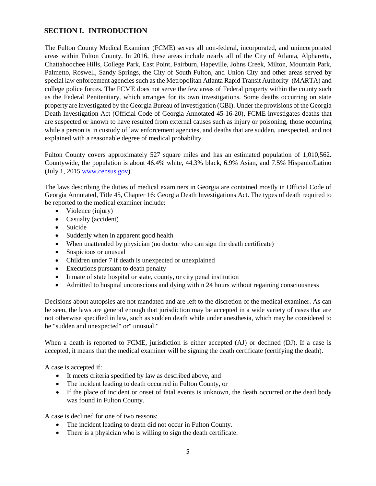## **SECTION I. INTRODUCTION**

The Fulton County Medical Examiner (FCME) serves all non-federal, incorporated, and unincorporated areas within Fulton County. In 2016, these areas include nearly all of the City of Atlanta, Alpharetta, Chattahoochee Hills, College Park, East Point, Fairburn, Hapeville, Johns Creek, Milton, Mountain Park, Palmetto, Roswell, Sandy Springs, the City of South Fulton, and Union City and other areas served by special law enforcement agencies such as the Metropolitan Atlanta Rapid Transit Authority (MARTA) and college police forces. The FCME does not serve the few areas of Federal property within the county such as the Federal Penitentiary, which arranges for its own investigations. Some deaths occurring on state property are investigated by the Georgia Bureau of Investigation (GBI). Under the provisions of the Georgia Death Investigation Act (Official Code of Georgia Annotated 45-16-20), FCME investigates deaths that are suspected or known to have resulted from external causes such as injury or poisoning, those occurring while a person is in custody of law enforcement agencies, and deaths that are sudden, unexpected, and not explained with a reasonable degree of medical probability.

Fulton County covers approximately 527 square miles and has an estimated population of 1,010,562. Countywide, the population is about 46.4% white, 44.3% black, 6.9% Asian, and 7.5% Hispanic/Latino (July 1, 2015 [www.census.gov\)](http://www.census.gov/).

The laws describing the duties of medical examiners in Georgia are contained mostly in Official Code of Georgia Annotated, Title 45, Chapter 16: Georgia Death Investigations Act. The types of death required to be reported to the medical examiner include:

- Violence (injury)
- Casualty (accident)
- Suicide
- Suddenly when in apparent good health
- When unattended by physician (no doctor who can sign the death certificate)
- Suspicious or unusual
- Children under 7 if death is unexpected or unexplained
- Executions pursuant to death penalty
- Inmate of state hospital or state, county, or city penal institution
- Admitted to hospital unconscious and dying within 24 hours without regaining consciousness

Decisions about autopsies are not mandated and are left to the discretion of the medical examiner. As can be seen, the laws are general enough that jurisdiction may be accepted in a wide variety of cases that are not otherwise specified in law, such as sudden death while under anesthesia, which may be considered to be "sudden and unexpected" or" unusual."

When a death is reported to FCME, jurisdiction is either accepted (AJ) or declined (DJ). If a case is accepted, it means that the medical examiner will be signing the death certificate (certifying the death).

A case is accepted if:

- It meets criteria specified by law as described above, and
- The incident leading to death occurred in Fulton County, or
- If the place of incident or onset of fatal events is unknown, the death occurred or the dead body was found in Fulton County.

A case is declined for one of two reasons:

- The incident leading to death did not occur in Fulton County.
- There is a physician who is willing to sign the death certificate.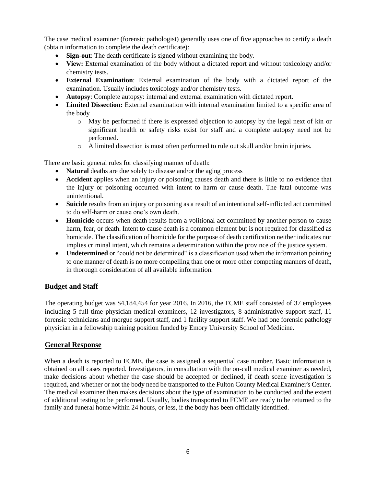The case medical examiner (forensic pathologist) generally uses one of five approaches to certify a death (obtain information to complete the death certificate):

- **Sign-out**: The death certificate is signed without examining the body.
- **View:** External examination of the body without a dictated report and without toxicology and/or chemistry tests.
- **External Examination**: External examination of the body with a dictated report of the examination. Usually includes toxicology and/or chemistry tests.
- **Autopsy**: Complete autopsy: internal and external examination with dictated report.
- Limited Dissection: External examination with internal examination limited to a specific area of the body
	- o May be performed if there is expressed objection to autopsy by the legal next of kin or significant health or safety risks exist for staff and a complete autopsy need not be performed.
	- o A limited dissection is most often performed to rule out skull and/or brain injuries.

There are basic general rules for classifying manner of death:

- **Natural** deaths are due solely to disease and/or the aging process
- **Accident** applies when an injury or poisoning causes death and there is little to no evidence that the injury or poisoning occurred with intent to harm or cause death. The fatal outcome was unintentional.
- **Suicide** results from an injury or poisoning as a result of an intentional self-inflicted act committed to do self-harm or cause one's own death.
- **Homicide** occurs when death results from a volitional act committed by another person to cause harm, fear, or death. Intent to cause death is a common element but is not required for classified as homicide. The classification of homicide for the purpose of death certification neither indicates nor implies criminal intent, which remains a determination within the province of the justice system.
- Undetermined or "could not be determined" is a classification used when the information pointing to one manner of death is no more compelling than one or more other competing manners of death, in thorough consideration of all available information.

## **Budget and Staff**

The operating budget was \$4,184,454 for year 2016. In 2016, the FCME staff consisted of 37 employees including 5 full time physician medical examiners, 12 investigators, 8 administrative support staff, 11 forensic technicians and morgue support staff, and 1 facility support staff. We had one forensic pathology physician in a fellowship training position funded by Emory University School of Medicine.

#### **General Response**

When a death is reported to FCME, the case is assigned a sequential case number. Basic information is obtained on all cases reported. Investigators, in consultation with the on-call medical examiner as needed, make decisions about whether the case should be accepted or declined, if death scene investigation is required, and whether or not the body need be transported to the Fulton County Medical Examiner's Center. The medical examiner then makes decisions about the type of examination to be conducted and the extent of additional testing to be performed. Usually, bodies transported to FCME are ready to be returned to the family and funeral home within 24 hours, or less, if the body has been officially identified.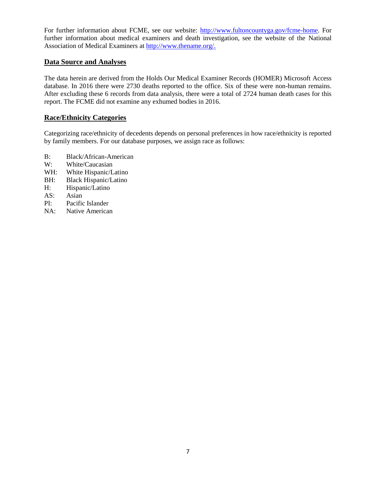For further information about FCME, see our website: [http://www.fultoncountyga.gov/fcme-home.](http://www.fultoncountyga.gov/fcme-home) For further information about medical examiners and death investigation, see the website of the National Association of Medical Examiners at [http://www.thename.org/.](http://www.thename.org/)

#### **Data Source and Analyses**

The data herein are derived from the Holds Our Medical Examiner Records (HOMER) Microsoft Access database. In 2016 there were 2730 deaths reported to the office. Six of these were non-human remains. After excluding these 6 records from data analysis, there were a total of 2724 human death cases for this report. The FCME did not examine any exhumed bodies in 2016.

#### **Race/Ethnicity Categories**

Categorizing race/ethnicity of decedents depends on personal preferences in how race/ethnicity is reported by family members. For our database purposes, we assign race as follows:

- B: Black/African-American
- W: White/Caucasian
- WH: White Hispanic/Latino
- BH: Black Hispanic/Latino
- H: Hispanic/Latino
- AS: Asian
- PI: Pacific Islander
- NA: Native American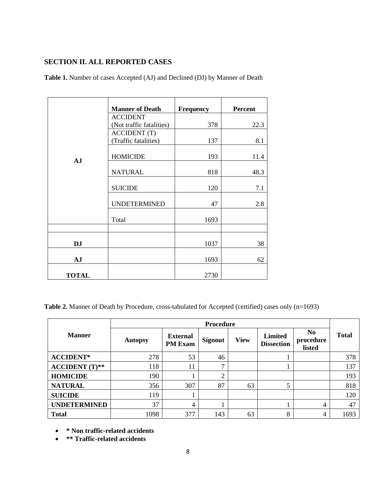## **SECTION II. ALL REPORTED CASES**

|              | <b>Manner of Death</b>   | Frequency | <b>Percent</b> |
|--------------|--------------------------|-----------|----------------|
|              | <b>ACCIDENT</b>          |           |                |
|              | (Not traffic fatalities) | 378       | 22.3           |
|              | <b>ACCIDENT</b> (T)      |           |                |
|              | (Traffic fatalities)     | 137       | 8.1            |
| <b>AJ</b>    | <b>HOMICIDE</b>          | 193       | 11.4           |
|              | <b>NATURAL</b>           | 818       | 48.3           |
|              | <b>SUICIDE</b>           | 120       | 7.1            |
|              | <b>UNDETERMINED</b>      | 47        | 2.8            |
|              | Total                    | 1693      |                |
|              |                          |           |                |
| <b>DJ</b>    |                          | 1037      | 38             |
| <b>AJ</b>    |                          | 1693      | 62             |
| <b>TOTAL</b> |                          | 2730      |                |

**Table 1.** Number of cases Accepted (AJ) and Declined (DJ) by Manner of Death

Table 2. Manner of Death by Procedure, cross-tabulated for Accepted (certified) cases only (n=1693)

|                         | <b>Procedure</b> |                                   |                |             |                                     |                                       |              |  |  |
|-------------------------|------------------|-----------------------------------|----------------|-------------|-------------------------------------|---------------------------------------|--------------|--|--|
| <b>Manner</b>           | <b>Autopsy</b>   | <b>External</b><br><b>PM Exam</b> | <b>Signout</b> | <b>View</b> | <b>Limited</b><br><b>Dissection</b> | N <sub>0</sub><br>procedure<br>listed | <b>Total</b> |  |  |
| <b>ACCIDENT*</b>        | 278              | 53                                | 46             |             |                                     |                                       | 378          |  |  |
| $\text{ACCIDENT}$ (T)** | 118              | 11                                | 7              |             |                                     |                                       | 137          |  |  |
| <b>HOMICIDE</b>         | 190              |                                   | $\overline{2}$ |             |                                     |                                       | 193          |  |  |
| <b>NATURAL</b>          | 356              | 307                               | 87             | 63          | 5                                   |                                       | 818          |  |  |
| <b>SUICIDE</b>          | 119              |                                   |                |             |                                     |                                       | 120          |  |  |
| <b>UNDETERMINED</b>     | 37               | 4                                 |                |             |                                     | $\overline{4}$                        | 47           |  |  |
| <b>Total</b>            | 1098             | 377                               | 143            | 63          | 8                                   | 4                                     | 1693         |  |  |

- **\* Non traffic-related accidents**
- **\*\* Traffic-related accidents**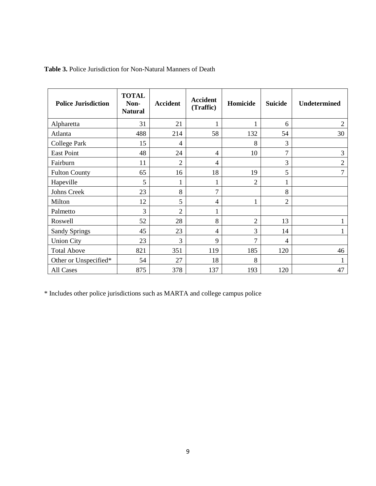| <b>Police Jurisdiction</b> | <b>TOTAL</b><br>Non-<br><b>Natural</b> | <b>Accident</b> | <b>Accident</b><br>(Traffic) | Homicide       | <b>Suicide</b> | Undetermined   |
|----------------------------|----------------------------------------|-----------------|------------------------------|----------------|----------------|----------------|
| Alpharetta                 | 31                                     | 21              | 1                            | 1              | 6              | $\overline{2}$ |
| Atlanta                    | 488                                    | 214             | 58                           | 132            | 54             | 30             |
| <b>College Park</b>        | 15                                     | $\overline{4}$  |                              | 8              | 3              |                |
| <b>East Point</b>          | 48                                     | 24              | $\overline{4}$               | 10             | 7              | 3              |
| Fairburn                   | 11                                     | $\overline{2}$  | 4                            |                | 3              | $\overline{2}$ |
| <b>Fulton County</b>       | 65                                     | 16              | 18                           | 19             | 5              | 7              |
| Hapeville                  | 5                                      | 1               | $\mathbf{1}$                 | $\overline{2}$ |                |                |
| Johns Creek                | 23                                     | 8               | 7                            |                | 8              |                |
| Milton                     | 12                                     | 5               | 4                            | 1              | $\overline{c}$ |                |
| Palmetto                   | 3                                      | $\overline{2}$  | $\mathbf{1}$                 |                |                |                |
| Roswell                    | 52                                     | 28              | 8                            | $\overline{2}$ | 13             |                |
| <b>Sandy Springs</b>       | 45                                     | 23              | $\overline{4}$               | 3              | 14             |                |
| <b>Union City</b>          | 23                                     | 3               | 9                            | 7              | 4              |                |
| <b>Total Above</b>         | 821                                    | 351             | 119                          | 185            | 120            | 46             |
| Other or Unspecified*      | 54                                     | 27              | 18                           | 8              |                |                |
| All Cases                  | 875                                    | 378             | 137                          | 193            | 120            | 47             |

## **Table 3.** Police Jurisdiction for Non-Natural Manners of Death

\* Includes other police jurisdictions such as MARTA and college campus police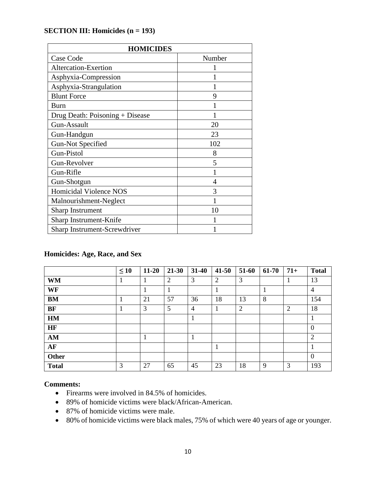## **SECTION III: Homicides (n = 193)**

| <b>HOMICIDES</b>                |        |  |  |  |  |  |  |
|---------------------------------|--------|--|--|--|--|--|--|
| Case Code                       | Number |  |  |  |  |  |  |
| Altercation-Exertion            |        |  |  |  |  |  |  |
| Asphyxia-Compression            |        |  |  |  |  |  |  |
| Asphyxia-Strangulation          |        |  |  |  |  |  |  |
| <b>Blunt Force</b>              | 9      |  |  |  |  |  |  |
| Burn                            |        |  |  |  |  |  |  |
| Drug Death: Poisoning + Disease |        |  |  |  |  |  |  |
| Gun-Assault                     | 20     |  |  |  |  |  |  |
| Gun-Handgun                     | 23     |  |  |  |  |  |  |
| <b>Gun-Not Specified</b>        | 102    |  |  |  |  |  |  |
| Gun-Pistol                      | 8      |  |  |  |  |  |  |
| Gun-Revolver                    | 5      |  |  |  |  |  |  |
| Gun-Rifle                       |        |  |  |  |  |  |  |
| Gun-Shotgun                     | 4      |  |  |  |  |  |  |
| Homicidal Violence NOS          | 3      |  |  |  |  |  |  |
| Malnourishment-Neglect          |        |  |  |  |  |  |  |
| <b>Sharp Instrument</b>         | 10     |  |  |  |  |  |  |
| Sharp Instrument-Knife          |        |  |  |  |  |  |  |
| Sharp Instrument-Screwdriver    |        |  |  |  |  |  |  |

## **Homicides: Age, Race, and Sex**

|              | $\leq 10$ | $11 - 20$ | $21 - 30$      | 31-40          | $41 - 50$      | 51-60 | 61-70 | $71+$          | <b>Total</b>   |
|--------------|-----------|-----------|----------------|----------------|----------------|-------|-------|----------------|----------------|
| <b>WM</b>    |           | 1         | $\overline{2}$ | 3              | $\overline{2}$ | 3     |       |                | 13             |
| WF           |           |           |                |                |                |       |       |                | $\overline{4}$ |
| <b>BM</b>    |           | 21        | 57             | 36             | 18             | 13    | 8     |                | 154            |
| BF           |           | 3         | 5              | $\overline{4}$ | 1              | 2     |       | $\overline{2}$ | 18             |
| <b>HM</b>    |           |           |                | 1              |                |       |       |                | 1              |
| HF           |           |           |                |                |                |       |       |                | $\overline{0}$ |
| AM           |           |           |                |                |                |       |       |                | $\overline{2}$ |
| AF           |           |           |                |                |                |       |       |                |                |
| Other        |           |           |                |                |                |       |       |                | $\overline{0}$ |
| <b>Total</b> | 3         | 27        | 65             | 45             | 23             | 18    | 9     | 3              | 193            |

- Firearms were involved in 84.5% of homicides.
- 89% of homicide victims were black/African-American.
- 87% of homicide victims were male.
- 80% of homicide victims were black males, 75% of which were 40 years of age or younger.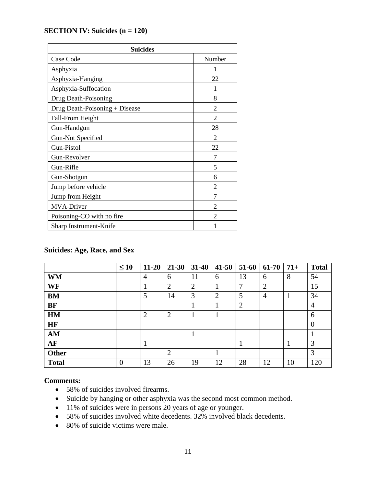## **SECTION IV: Suicides (n = 120)**

| <b>Suicides</b>                |                |  |  |  |  |  |
|--------------------------------|----------------|--|--|--|--|--|
| Case Code                      | Number         |  |  |  |  |  |
| Asphyxia                       | 1              |  |  |  |  |  |
| Asphyxia-Hanging               | 22             |  |  |  |  |  |
| Asphyxia-Suffocation           | 1              |  |  |  |  |  |
| Drug Death-Poisoning           | 8              |  |  |  |  |  |
| Drug Death-Poisoning + Disease | 2              |  |  |  |  |  |
| Fall-From Height               | 2              |  |  |  |  |  |
| Gun-Handgun                    | 28             |  |  |  |  |  |
| <b>Gun-Not Specified</b>       | $\overline{c}$ |  |  |  |  |  |
| Gun-Pistol                     | 22             |  |  |  |  |  |
| Gun-Revolver                   | 7              |  |  |  |  |  |
| Gun-Rifle                      | 5              |  |  |  |  |  |
| Gun-Shotgun                    | 6              |  |  |  |  |  |
| Jump before vehicle            | 2              |  |  |  |  |  |
| Jump from Height               | 7              |  |  |  |  |  |
| <b>MVA-Driver</b>              | $\overline{c}$ |  |  |  |  |  |
| Poisoning-CO with no fire      | 2              |  |  |  |  |  |
| Sharp Instrument-Knife         |                |  |  |  |  |  |

## **Suicides: Age, Race, and Sex**

|              | $\leq 10$      | $11 - 20$      | $21 - 30$      | $31 - 40$      | $41 - 50$      | 51-60          | $61-70$        | $71+$ | <b>Total</b>   |
|--------------|----------------|----------------|----------------|----------------|----------------|----------------|----------------|-------|----------------|
| <b>WM</b>    |                | $\overline{4}$ | 6              | 11             | 6              | 13             | 6              | 8     | 54             |
| WF           |                | T              | $\overline{2}$ | $\overline{2}$ |                | 7              | $\overline{2}$ |       | 15             |
| <b>BM</b>    |                | 5              | 14             | 3              | $\overline{2}$ | 5              | 4              | 1     | 34             |
| <b>BF</b>    |                |                |                |                |                | $\overline{2}$ |                |       | $\overline{4}$ |
| HM           |                | $\overline{2}$ | 2              |                |                |                |                |       | 6              |
| <b>HF</b>    |                |                |                |                |                |                |                |       | $\overline{0}$ |
| AM           |                |                |                |                |                |                |                |       |                |
| AF           |                | 1              |                |                |                |                |                | 1     | 3              |
| <b>Other</b> |                |                | $\overline{2}$ |                |                |                |                |       | 3              |
| <b>Total</b> | $\overline{0}$ | 13             | 26             | 19             | 12             | 28             | 12             | 10    | 120            |

- 58% of suicides involved firearms.
- Suicide by hanging or other asphyxia was the second most common method.
- 11% of suicides were in persons 20 years of age or younger.
- 58% of suicides involved white decedents. 32% involved black decedents.
- 80% of suicide victims were male.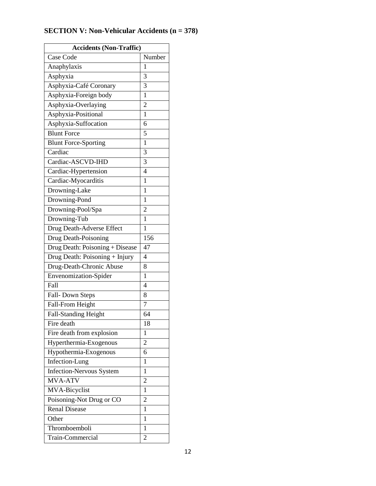# **SECTION V: Non-Vehicular Accidents (n = 378)**

| <b>Accidents (Non-Traffic)</b>  |                |  |  |  |  |  |  |
|---------------------------------|----------------|--|--|--|--|--|--|
| Case Code                       | Number         |  |  |  |  |  |  |
| Anaphylaxis                     | 1              |  |  |  |  |  |  |
| Asphyxia                        | 3              |  |  |  |  |  |  |
| Asphyxia-Café Coronary          | 3              |  |  |  |  |  |  |
| Asphyxia-Foreign body           | $\mathbf{1}$   |  |  |  |  |  |  |
| Asphyxia-Overlaying             | $\overline{c}$ |  |  |  |  |  |  |
| Asphyxia-Positional             | $\mathbf{1}$   |  |  |  |  |  |  |
| Asphyxia-Suffocation            | 6              |  |  |  |  |  |  |
| <b>Blunt Force</b>              | 5              |  |  |  |  |  |  |
| <b>Blunt Force-Sporting</b>     | $\mathbf{1}$   |  |  |  |  |  |  |
| Cardiac                         | 3              |  |  |  |  |  |  |
| Cardiac-ASCVD-IHD               | 3              |  |  |  |  |  |  |
| Cardiac-Hypertension            | $\overline{4}$ |  |  |  |  |  |  |
| Cardiac-Myocarditis             | 1              |  |  |  |  |  |  |
| Drowning-Lake                   | $\mathbf{1}$   |  |  |  |  |  |  |
| Drowning-Pond                   | $\mathbf{1}$   |  |  |  |  |  |  |
| Drowning-Pool/Spa               | $\overline{2}$ |  |  |  |  |  |  |
| Drowning-Tub                    | $\mathbf{1}$   |  |  |  |  |  |  |
| Drug Death-Adverse Effect       | 1              |  |  |  |  |  |  |
| Drug Death-Poisoning            | 156            |  |  |  |  |  |  |
| Drug Death: Poisoning + Disease | 47             |  |  |  |  |  |  |
| Drug Death: Poisoning + Injury  | 4              |  |  |  |  |  |  |
| Drug-Death-Chronic Abuse        | 8              |  |  |  |  |  |  |
| Envenomization-Spider           | 1              |  |  |  |  |  |  |
| Fall                            | $\overline{4}$ |  |  |  |  |  |  |
| Fall-Down Steps                 | 8              |  |  |  |  |  |  |
| Fall-From Height                | $\overline{7}$ |  |  |  |  |  |  |
| Fall-Standing Height            | 64             |  |  |  |  |  |  |
| Fire death                      | 18             |  |  |  |  |  |  |
| Fire death from explosion       | 1              |  |  |  |  |  |  |
| Hyperthermia-Exogenous          | 2              |  |  |  |  |  |  |
| Hypothermia-Exogenous           | 6              |  |  |  |  |  |  |
| Infection-Lung                  | 1              |  |  |  |  |  |  |
| Infection-Nervous System        | $\mathbf{1}$   |  |  |  |  |  |  |
| <b>MVA-ATV</b>                  | $\overline{2}$ |  |  |  |  |  |  |
| MVA-Bicyclist                   | $\mathbf{1}$   |  |  |  |  |  |  |
| Poisoning-Not Drug or CO        | $\overline{2}$ |  |  |  |  |  |  |
| <b>Renal Disease</b>            | $\mathbf{1}$   |  |  |  |  |  |  |
| Other                           | $\mathbf{1}$   |  |  |  |  |  |  |
| Thromboemboli                   | 1              |  |  |  |  |  |  |
| Train-Commercial                | $\overline{2}$ |  |  |  |  |  |  |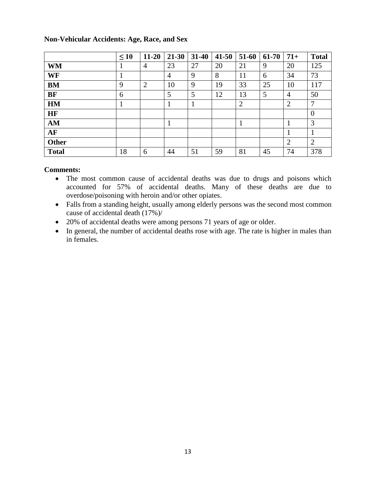|              | $\leq 10$ | $11 - 20$      | $21 - 30$      | $31 - 40$ | $41 - 50$ | 51-60          | 61-70 | $71+$          | <b>Total</b>   |
|--------------|-----------|----------------|----------------|-----------|-----------|----------------|-------|----------------|----------------|
| <b>WM</b>    |           | 4              | 23             | 27        | 20        | 21             | 9     | 20             | 125            |
| WF           | 1         |                | $\overline{4}$ | 9         | 8         | 11             | 6     | 34             | 73             |
| <b>BM</b>    | 9         | $\overline{2}$ | 10             | 9         | 19        | 33             | 25    | 10             | 117            |
| <b>BF</b>    | 6         |                | 5              | 5         | 12        | 13             | 5     | 4              | 50             |
| HM           | 1         |                |                |           |           | $\overline{2}$ |       | $\overline{2}$ | $\overline{7}$ |
| <b>HF</b>    |           |                |                |           |           |                |       |                | $\overline{0}$ |
| AM           |           |                | 1              |           |           |                |       |                | 3              |
| AF           |           |                |                |           |           |                |       |                | 1              |
| <b>Other</b> |           |                |                |           |           |                |       | 2              | 2              |
| <b>Total</b> | 18        | 6              | 44             | 51        | 59        | 81             | 45    | 74             | 378            |

## **Non-Vehicular Accidents: Age, Race, and Sex**

- The most common cause of accidental deaths was due to drugs and poisons which accounted for 57% of accidental deaths. Many of these deaths are due to overdose/poisoning with heroin and/or other opiates.
- Falls from a standing height, usually among elderly persons was the second most common cause of accidental death (17%)/
- 20% of accidental deaths were among persons 71 years of age or older.
- In general, the number of accidental deaths rose with age. The rate is higher in males than in females.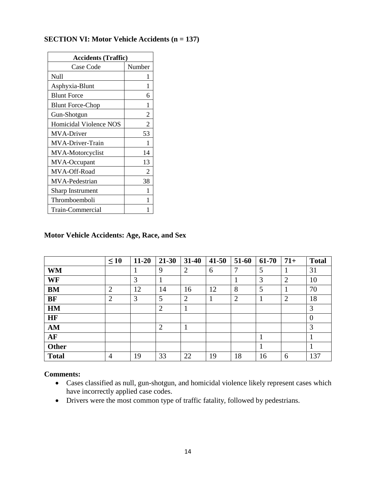## **SECTION VI: Motor Vehicle Accidents (n = 137)**

| <b>Accidents (Traffic)</b> |                |  |  |  |  |  |  |
|----------------------------|----------------|--|--|--|--|--|--|
| Case Code                  | Number         |  |  |  |  |  |  |
| Null                       | 1              |  |  |  |  |  |  |
| Asphyxia-Blunt             | 1              |  |  |  |  |  |  |
| <b>Blunt Force</b>         | 6              |  |  |  |  |  |  |
| <b>Blunt Force-Chop</b>    | 1              |  |  |  |  |  |  |
| Gun-Shotgun                | $\overline{2}$ |  |  |  |  |  |  |
| Homicidal Violence NOS     | $\overline{2}$ |  |  |  |  |  |  |
| <b>MVA-Driver</b>          | 53             |  |  |  |  |  |  |
| MVA-Driver-Train           | 1              |  |  |  |  |  |  |
| MVA-Motorcyclist           | 14             |  |  |  |  |  |  |
| MVA-Occupant               | 13             |  |  |  |  |  |  |
| MVA-Off-Road               | 2              |  |  |  |  |  |  |
| MVA-Pedestrian             | 38             |  |  |  |  |  |  |
| <b>Sharp Instrument</b>    | 1              |  |  |  |  |  |  |
| Thromboemboli              | 1              |  |  |  |  |  |  |
| Train-Commercial           |                |  |  |  |  |  |  |

## **Motor Vehicle Accidents: Age, Race, and Sex**

|              | $\leq 10$      | $11 - 20$ | 21-30          | $31 - 40$      | $41 - 50$ | 51-60          | 61-70 | $71+$          | <b>Total</b>   |
|--------------|----------------|-----------|----------------|----------------|-----------|----------------|-------|----------------|----------------|
| <b>WM</b>    |                |           | 9              | $\overline{2}$ | 6         | 7              | 5     |                | 31             |
| WF           |                | 3         | T              |                |           |                | 3     | $\overline{2}$ | 10             |
| <b>BM</b>    | $\overline{2}$ | 12        | 14             | 16             | 12        | 8              | 5     |                | 70             |
| <b>BF</b>    | $\overline{2}$ | 3         | 5              | $\overline{2}$ | $\bf{I}$  | $\overline{2}$ | 1     | $\overline{2}$ | 18             |
| HM           |                |           | $\overline{2}$ |                |           |                |       |                | 3              |
| <b>HF</b>    |                |           |                |                |           |                |       |                | $\overline{0}$ |
| AM           |                |           | $\overline{2}$ |                |           |                |       |                | 3              |
| AF           |                |           |                |                |           |                | 1     |                |                |
| <b>Other</b> |                |           |                |                |           |                |       |                |                |
| <b>Total</b> | $\overline{4}$ | 19        | 33             | 22             | 19        | 18             | 16    | 6              | 137            |

- Cases classified as null, gun-shotgun, and homicidal violence likely represent cases which have incorrectly applied case codes.
- Drivers were the most common type of traffic fatality, followed by pedestrians.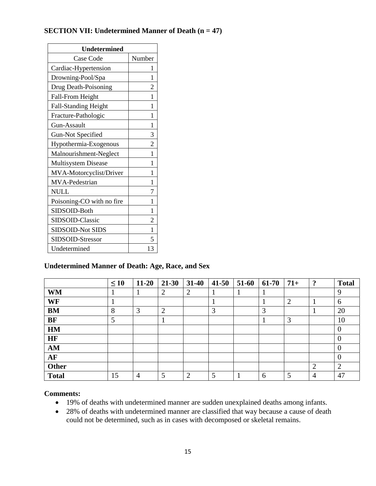## **SECTION VII: Undetermined Manner of Death (n = 47)**

| <b>Undetermined</b>         |                |
|-----------------------------|----------------|
| Case Code                   | Number         |
| Cardiac-Hypertension        | ı              |
| Drowning-Pool/Spa           | 1              |
| Drug Death-Poisoning        | $\overline{2}$ |
| Fall-From Height            | 1              |
| <b>Fall-Standing Height</b> | 1              |
| Fracture-Pathologic         | 1              |
| Gun-Assault                 | 1              |
| <b>Gun-Not Specified</b>    | 3              |
| Hypothermia-Exogenous       | $\overline{c}$ |
| Malnourishment-Neglect      | 1              |
| <b>Multisystem Disease</b>  | 1              |
| MVA-Motorcyclist/Driver     | 1              |
| MVA-Pedestrian              | 1              |
| <b>NULL</b>                 | 7              |
| Poisoning-CO with no fire   | 1              |
| SIDSOID-Both                | 1              |
| SIDSOID-Classic             | $\overline{c}$ |
| SIDSOID-Not SIDS            | 1              |
| SIDSOID-Stressor            | 5              |
| Undetermined                | 13             |

## **Undetermined Manner of Death: Age, Race, and Sex**

|              | $\leq 10$ | $11 - 20$ | 21-30          | $31 - 40$      | $41 - 50$ | 51-60 | 61-70 | $71+$          | $\cdot$        | <b>Total</b>   |
|--------------|-----------|-----------|----------------|----------------|-----------|-------|-------|----------------|----------------|----------------|
| <b>WM</b>    |           |           | 2              | $\overline{2}$ |           |       |       |                |                | 9              |
| WF           |           |           |                |                |           |       |       | $\overline{2}$ |                | 6              |
| <b>BM</b>    | 8         | 3         | $\overline{2}$ |                | 3         |       | 3     |                |                | 20             |
| <b>BF</b>    | 5         |           |                |                |           |       |       | 3              |                | 10             |
| HM           |           |           |                |                |           |       |       |                |                | $\mathbf{0}$   |
| HF           |           |           |                |                |           |       |       |                |                | $\overline{0}$ |
| AM           |           |           |                |                |           |       |       |                |                | $\overline{0}$ |
| AF           |           |           |                |                |           |       |       |                |                | $\overline{0}$ |
| Other        |           |           |                |                |           |       |       |                | $\overline{2}$ | $\overline{2}$ |
| <b>Total</b> | 15        | 4         | 5              | $\overline{2}$ | 5         |       | 6     | 5              | 4              | 47             |

- 19% of deaths with undetermined manner are sudden unexplained deaths among infants.
- 28% of deaths with undetermined manner are classified that way because a cause of death could not be determined, such as in cases with decomposed or skeletal remains.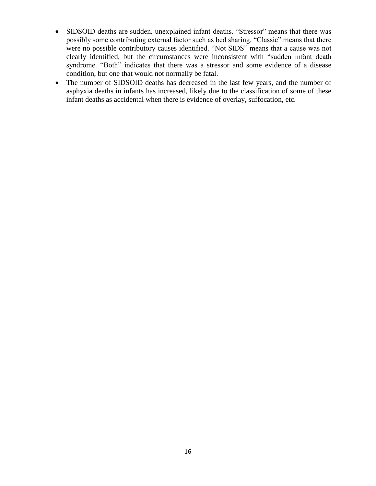- SIDSOID deaths are sudden, unexplained infant deaths. "Stressor" means that there was possibly some contributing external factor such as bed sharing. "Classic" means that there were no possible contributory causes identified. "Not SIDS" means that a cause was not clearly identified, but the circumstances were inconsistent with "sudden infant death syndrome. "Both" indicates that there was a stressor and some evidence of a disease condition, but one that would not normally be fatal.
- The number of SIDSOID deaths has decreased in the last few years, and the number of asphyxia deaths in infants has increased, likely due to the classification of some of these infant deaths as accidental when there is evidence of overlay, suffocation, etc.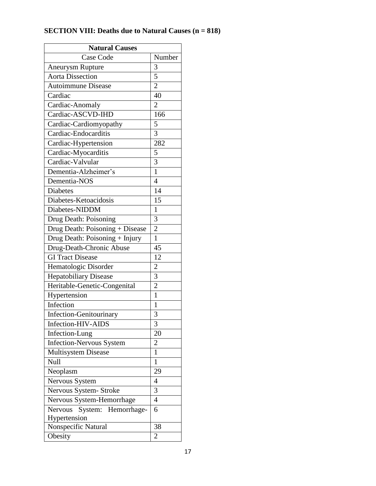| <b>SECTION VIII: Deaths due to Natural Causes (n = 818)</b> |  |
|-------------------------------------------------------------|--|
|-------------------------------------------------------------|--|

| <b>Natural Causes</b>             |                |  |  |  |  |
|-----------------------------------|----------------|--|--|--|--|
| <b>Case Code</b>                  | Number         |  |  |  |  |
| Aneurysm Rupture                  | 3              |  |  |  |  |
| <b>Aorta Dissection</b>           | $\overline{5}$ |  |  |  |  |
| Autoimmune Disease                | $\overline{2}$ |  |  |  |  |
| Cardiac                           | 40             |  |  |  |  |
| Cardiac-Anomaly                   | $\overline{2}$ |  |  |  |  |
| Cardiac-ASCVD-IHD                 | 166            |  |  |  |  |
| Cardiac-Cardiomyopathy            | 5              |  |  |  |  |
| Cardiac-Endocarditis              | 3              |  |  |  |  |
| Cardiac-Hypertension              | 282            |  |  |  |  |
| Cardiac-Myocarditis               | 5              |  |  |  |  |
| Cardiac-Valvular                  | $\overline{3}$ |  |  |  |  |
| Dementia-Alzheimer's              | $\mathbf{1}$   |  |  |  |  |
| Dementia-NOS                      | $\overline{4}$ |  |  |  |  |
| <b>Diabetes</b>                   | 14             |  |  |  |  |
| Diabetes-Ketoacidosis             | 15             |  |  |  |  |
| Diabetes-NIDDM                    | 1              |  |  |  |  |
| Drug Death: Poisoning             | 3              |  |  |  |  |
| Drug Death: Poisoning + Disease   | $\overline{c}$ |  |  |  |  |
| Drug Death: Poisoning + Injury    | $\mathbf{1}$   |  |  |  |  |
| Drug-Death-Chronic Abuse          | 45             |  |  |  |  |
| <b>GI</b> Tract Disease           | 12             |  |  |  |  |
| Hematologic Disorder              | $\overline{c}$ |  |  |  |  |
| <b>Hepatobiliary Disease</b>      | 3              |  |  |  |  |
| Heritable-Genetic-Congenital      | $\overline{2}$ |  |  |  |  |
| Hypertension                      | $\mathbf{1}$   |  |  |  |  |
| Infection                         | $\mathbf{1}$   |  |  |  |  |
| Infection-Genitourinary           | 3              |  |  |  |  |
| Infection-HIV-AIDS                | 3              |  |  |  |  |
| Infection-Lung                    | 20             |  |  |  |  |
| <b>Infection-Nervous System</b>   | $\overline{c}$ |  |  |  |  |
| <b>Multisystem Disease</b>        | $\mathbf{1}$   |  |  |  |  |
| Null                              | $\mathbf{1}$   |  |  |  |  |
| Neoplasm                          | 29             |  |  |  |  |
| Nervous System                    | $\overline{4}$ |  |  |  |  |
| Nervous System- Stroke            | 3              |  |  |  |  |
| Nervous System-Hemorrhage         | $\overline{4}$ |  |  |  |  |
| Nervous<br>System:<br>Hemorrhage- | 6              |  |  |  |  |
| Hypertension                      |                |  |  |  |  |
| Nonspecific Natural               | 38             |  |  |  |  |
| Obesity                           | $\overline{2}$ |  |  |  |  |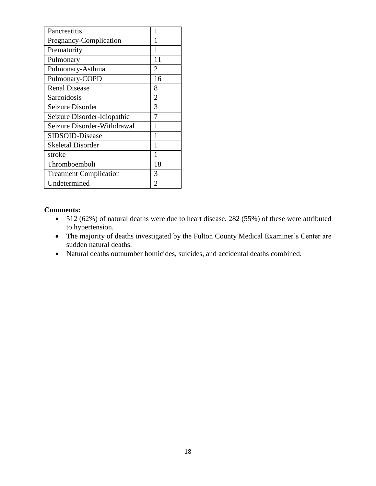| Pancreatitis                  | 1              |
|-------------------------------|----------------|
| Pregnancy-Complication        | 1              |
| Prematurity                   | 1              |
| Pulmonary                     | 11             |
| Pulmonary-Asthma              | $\overline{2}$ |
| Pulmonary-COPD                | 16             |
| <b>Renal Disease</b>          | 8              |
| Sarcoidosis                   | $\overline{2}$ |
| Seizure Disorder              | 3              |
| Seizure Disorder-Idiopathic   | 7              |
| Seizure Disorder-Withdrawal   | 1              |
| SIDSOID-Disease               | 1              |
| <b>Skeletal Disorder</b>      | 1              |
| stroke                        | 1              |
| Thromboemboli                 | 18             |
| <b>Treatment Complication</b> | 3              |
| Undetermined                  | $\overline{2}$ |

- 512 (62%) of natural deaths were due to heart disease. 282 (55%) of these were attributed to hypertension.
- The majority of deaths investigated by the Fulton County Medical Examiner's Center are sudden natural deaths.
- Natural deaths outnumber homicides, suicides, and accidental deaths combined.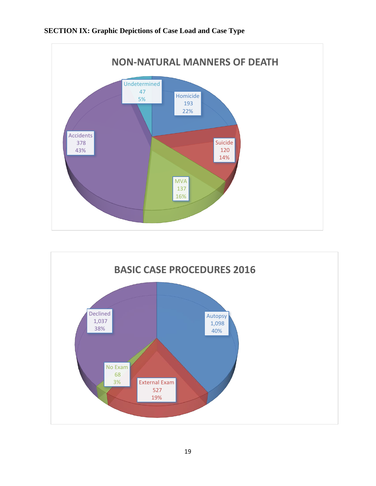## **SECTION IX: Graphic Depictions of Case Load and Case Type**



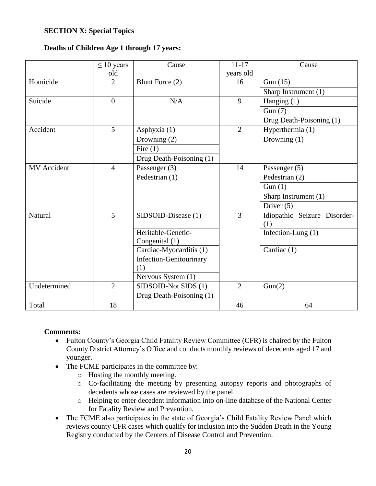## **SECTION X: Special Topics**

## **Deaths of Children Age 1 through 17 years:**

|                    | $\leq 10$ years | Cause                          | $11 - 17$      | Cause                        |
|--------------------|-----------------|--------------------------------|----------------|------------------------------|
|                    | old             |                                | years old      |                              |
| Homicide           | $\overline{2}$  | Blunt Force (2)                | 16             | Gun $(15)$                   |
|                    |                 |                                |                | Sharp Instrument (1)         |
| Suicide            | $\overline{0}$  | N/A                            | 9              | Hanging $(1)$                |
|                    |                 |                                |                | Gun(7)                       |
|                    |                 |                                |                | Drug Death-Poisoning (1)     |
| Accident           | 5               | Asphyxia (1)                   | $\overline{2}$ | Hyperthermia (1)             |
|                    |                 | Drowning (2)                   |                | Drowning $(1)$               |
|                    |                 | Fire $(1)$                     |                |                              |
|                    |                 | Drug Death-Poisoning (1)       |                |                              |
| <b>MV</b> Accident | $\overline{4}$  | Passenger (3)                  | 14             | Passenger $(5)$              |
|                    |                 | Pedestrian (1)                 |                | Pedestrian (2)               |
|                    |                 |                                |                | Gun(1)                       |
|                    |                 |                                |                | Sharp Instrument (1)         |
|                    |                 |                                |                | Driver $(5)$                 |
| Natural            | 5               | SIDSOID-Disease (1)            | $\overline{3}$ | Idiopathic Seizure Disorder- |
|                    |                 |                                |                | (1)                          |
|                    |                 | Heritable-Genetic-             |                | Infection-Lung (1)           |
|                    |                 | Congenital (1)                 |                |                              |
|                    |                 | Cardiac-Myocarditis (1)        |                | Cardiac (1)                  |
|                    |                 | <b>Infection-Genitourinary</b> |                |                              |
|                    |                 | (1)                            |                |                              |
|                    |                 | Nervous System (1)             |                |                              |
| Undetermined       | $\overline{2}$  | SIDSOID-Not SIDS (1)           | $\overline{2}$ | Gun(2)                       |
|                    |                 | Drug Death-Poisoning (1)       |                |                              |
| Total              | 18              |                                | 46             | 64                           |

- Fulton County's Georgia Child Fatality Review Committee (CFR) is chaired by the Fulton County District Attorney's Office and conducts monthly reviews of decedents aged 17 and younger.
- The FCME participates in the committee by:
	- o Hosting the monthly meeting.
	- o Co-facilitating the meeting by presenting autopsy reports and photographs of decedents whose cases are reviewed by the panel.
	- o Helping to enter decedent information into on-line database of the National Center for Fatality Review and Prevention.
- The FCME also participates in the state of Georgia's Child Fatality Review Panel which reviews county CFR cases which qualify for inclusion into the Sudden Death in the Young Registry conducted by the Centers of Disease Control and Prevention.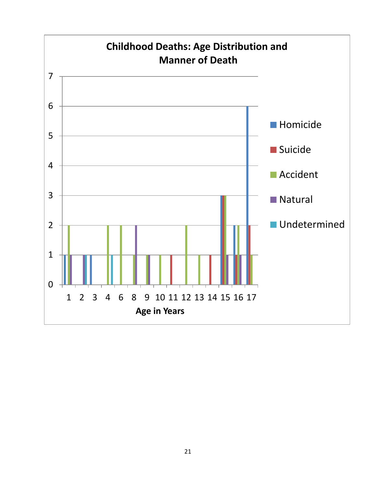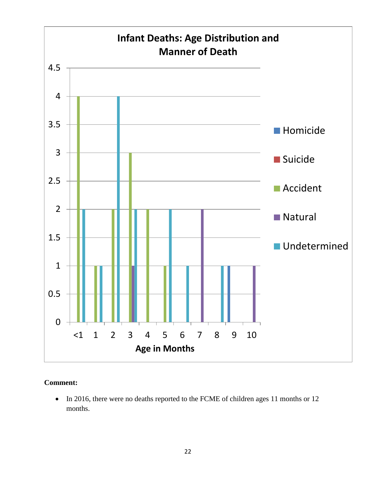![](_page_21_Figure_0.jpeg)

## **Comment:**

• In 2016, there were no deaths reported to the FCME of children ages 11 months or 12 months.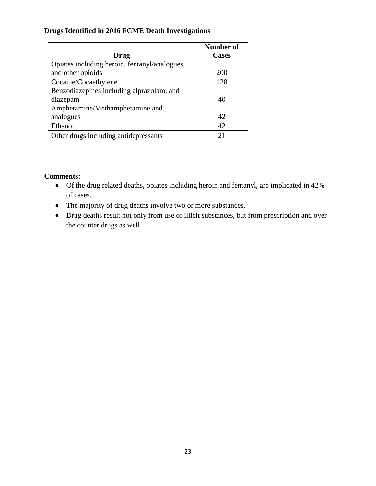## **Drugs Identified in 2016 FCME Death Investigations**

|                                               | <b>Number of</b> |
|-----------------------------------------------|------------------|
| Drug                                          | <b>Cases</b>     |
| Opiates including heroin, fentanyl/analogues, |                  |
| and other opioids                             | 200              |
| Cocaine/Cocaethylene                          | 128              |
| Benzodiazepines including alprazolam, and     |                  |
| diazepam                                      | 40               |
| Amphetamine/Methamphetamine and               |                  |
| analogues                                     | 42               |
| Ethanol                                       | 42               |
| Other drugs including antidepressants         | 21               |

- Of the drug related deaths, opiates including heroin and fentanyl, are implicated in 42% of cases.
- The majority of drug deaths involve two or more substances.
- Drug deaths result not only from use of illicit substances, but from prescription and over the counter drugs as well.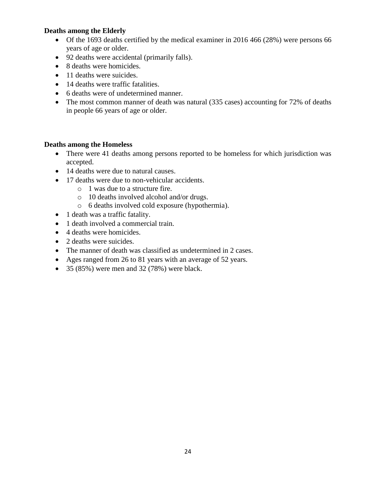## **Deaths among the Elderly**

- Of the 1693 deaths certified by the medical examiner in 2016 466 (28%) were persons 66 years of age or older.
- 92 deaths were accidental (primarily falls).
- 8 deaths were homicides.
- 11 deaths were suicides.
- 14 deaths were traffic fatalities.
- 6 deaths were of undetermined manner.
- The most common manner of death was natural (335 cases) accounting for 72% of deaths in people 66 years of age or older.

## **Deaths among the Homeless**

- There were 41 deaths among persons reported to be homeless for which jurisdiction was accepted.
- 14 deaths were due to natural causes.
- 17 deaths were due to non-vehicular accidents.
	- o 1 was due to a structure fire.
	- o 10 deaths involved alcohol and/or drugs.
	- o 6 deaths involved cold exposure (hypothermia).
- 1 death was a traffic fatality.
- 1 death involved a commercial train.
- 4 deaths were homicides.
- 2 deaths were suicides.
- The manner of death was classified as undetermined in 2 cases.
- Ages ranged from 26 to 81 years with an average of 52 years.
- $\bullet$  35 (85%) were men and 32 (78%) were black.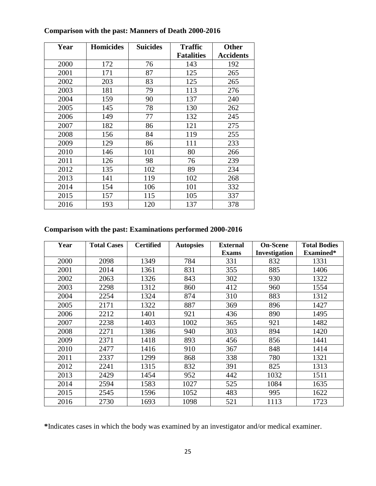| Year | <b>Homicides</b> | <b>Suicides</b> | <b>Traffic</b>    | <b>Other</b>     |
|------|------------------|-----------------|-------------------|------------------|
|      |                  |                 | <b>Fatalities</b> | <b>Accidents</b> |
| 2000 | 172              | 76              | 143               | 192              |
| 2001 | 171              | 87              | 125               | 265              |
| 2002 | 203              | 83              | 125               | 265              |
| 2003 | 181              | 79              | 113               | 276              |
| 2004 | 159              | 90              | 137               | 240              |
| 2005 | 145              | 78              | 130               | 262              |
| 2006 | 149              | 77              | 132               | 245              |
| 2007 | 182              | 86              | 121               | 275              |
| 2008 | 156              | 84              | 119               | 255              |
| 2009 | 129              | 86              | 111               | 233              |
| 2010 | 146              | 101             | 80                | 266              |
| 2011 | 126              | 98              | 76                | 239              |
| 2012 | 135              | 102             | 89                | 234              |
| 2013 | 141              | 119             | 102               | 268              |
| 2014 | 154              | 106             | 101               | 332              |
| 2015 | 157              | 115             | 105               | 337              |
| 2016 | 193              | 120             | 137               | 378              |

## **Comparison with the past: Manners of Death 2000-2016**

## **Comparison with the past: Examinations performed 2000-2016**

| Year | <b>Total Cases</b> | <b>Certified</b> | <b>Autopsies</b> | <b>External</b> | <b>On-Scene</b> | <b>Total Bodies</b> |
|------|--------------------|------------------|------------------|-----------------|-----------------|---------------------|
|      |                    |                  |                  | <b>Exams</b>    | Investigation   | Examined*           |
| 2000 | 2098               | 1349             | 784              | 331             | 832             | 1331                |
| 2001 | 2014               | 1361             | 831              | 355             | 885             | 1406                |
| 2002 | 2063               | 1326             | 843              | 302             | 930             | 1322                |
| 2003 | 2298               | 1312             | 860              | 412             | 960             | 1554                |
| 2004 | 2254               | 1324             | 874              | 310             | 883             | 1312                |
| 2005 | 2171               | 1322             | 887              | 369             | 896             | 1427                |
| 2006 | 2212               | 1401             | 921              | 436             | 890             | 1495                |
| 2007 | 2238               | 1403             | 1002             | 365             | 921             | 1482                |
| 2008 | 2271               | 1386             | 940              | 303             | 894             | 1420                |
| 2009 | 2371               | 1418             | 893              | 456             | 856             | 1441                |
| 2010 | 2477               | 1416             | 910              | 367             | 848             | 1414                |
| 2011 | 2337               | 1299             | 868              | 338             | 780             | 1321                |
| 2012 | 2241               | 1315             | 832              | 391             | 825             | 1313                |
| 2013 | 2429               | 1454             | 952              | 442             | 1032            | 1511                |
| 2014 | 2594               | 1583             | 1027             | 525             | 1084            | 1635                |
| 2015 | 2545               | 1596             | 1052             | 483             | 995             | 1622                |
| 2016 | 2730               | 1693             | 1098             | 521             | 1113            | 1723                |

**\***Indicates cases in which the body was examined by an investigator and/or medical examiner.